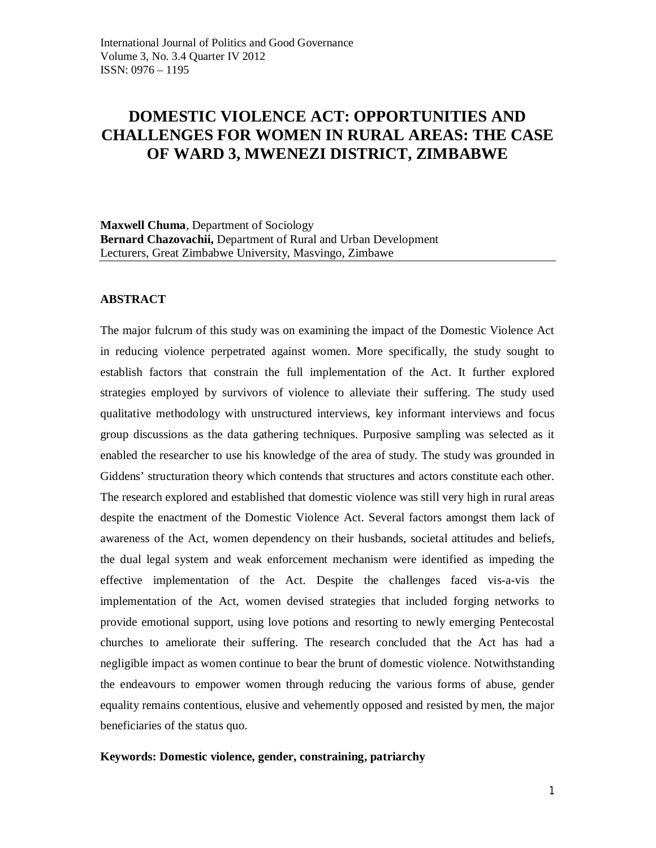# **DOMESTIC VIOLENCE ACT: OPPORTUNITIES AND CHALLENGES FOR WOMEN IN RURAL AREAS: THE CASE OF WARD 3, MWENEZI DISTRICT, ZIMBABWE**

**Maxwell Chuma**, Department of Sociology **Bernard Chazovachii,** Department of Rural and Urban Development Lecturers, Great Zimbabwe University, Masvingo, Zimbawe

## **ABSTRACT**

The major fulcrum of this study was on examining the impact of the Domestic Violence Act in reducing violence perpetrated against women. More specifically, the study sought to establish factors that constrain the full implementation of the Act. It further explored strategies employed by survivors of violence to alleviate their suffering. The study used qualitative methodology with unstructured interviews, key informant interviews and focus group discussions as the data gathering techniques. Purposive sampling was selected as it enabled the researcher to use his knowledge of the area of study. The study was grounded in Giddens' structuration theory which contends that structures and actors constitute each other. The research explored and established that domestic violence was still very high in rural areas despite the enactment of the Domestic Violence Act. Several factors amongst them lack of awareness of the Act, women dependency on their husbands, societal attitudes and beliefs, the dual legal system and weak enforcement mechanism were identified as impeding the effective implementation of the Act. Despite the challenges faced vis-a-vis the implementation of the Act, women devised strategies that included forging networks to provide emotional support, using love potions and resorting to newly emerging Pentecostal churches to ameliorate their suffering. The research concluded that the Act has had a negligible impact as women continue to bear the brunt of domestic violence. Notwithstanding the endeavours to empower women through reducing the various forms of abuse, gender equality remains contentious, elusive and vehemently opposed and resisted by men, the major beneficiaries of the status quo.

#### **Keywords: Domestic violence, gender, constraining, patriarchy**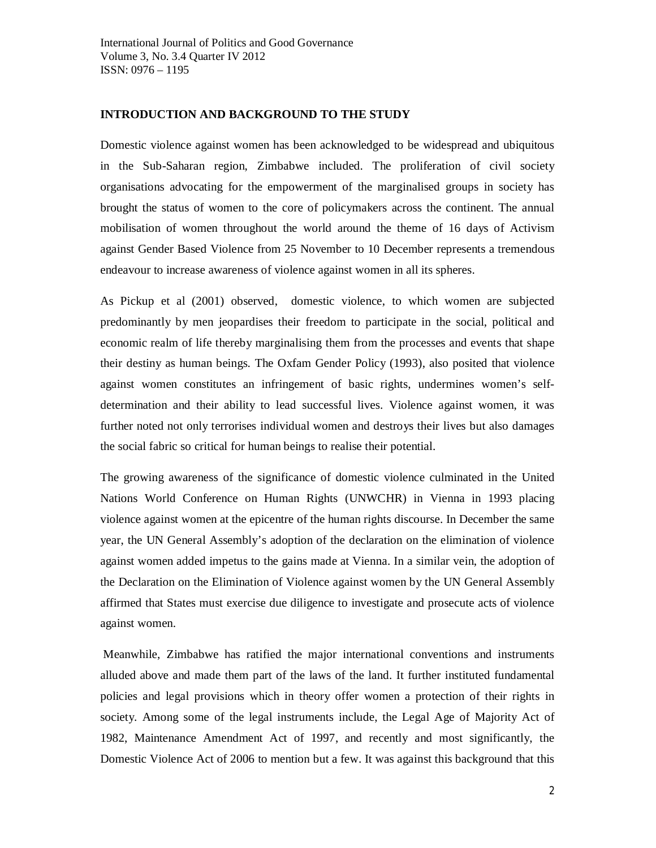## **INTRODUCTION AND BACKGROUND TO THE STUDY**

Domestic violence against women has been acknowledged to be widespread and ubiquitous in the Sub-Saharan region, Zimbabwe included. The proliferation of civil society organisations advocating for the empowerment of the marginalised groups in society has brought the status of women to the core of policymakers across the continent. The annual mobilisation of women throughout the world around the theme of 16 days of Activism against Gender Based Violence from 25 November to 10 December represents a tremendous endeavour to increase awareness of violence against women in all its spheres.

As Pickup et al (2001) observed, domestic violence, to which women are subjected predominantly by men jeopardises their freedom to participate in the social, political and economic realm of life thereby marginalising them from the processes and events that shape their destiny as human beings. The Oxfam Gender Policy (1993), also posited that violence against women constitutes an infringement of basic rights, undermines women's selfdetermination and their ability to lead successful lives. Violence against women, it was further noted not only terrorises individual women and destroys their lives but also damages the social fabric so critical for human beings to realise their potential.

The growing awareness of the significance of domestic violence culminated in the United Nations World Conference on Human Rights (UNWCHR) in Vienna in 1993 placing violence against women at the epicentre of the human rights discourse. In December the same year, the UN General Assembly's adoption of the declaration on the elimination of violence against women added impetus to the gains made at Vienna. In a similar vein, the adoption of the Declaration on the Elimination of Violence against women by the UN General Assembly affirmed that States must exercise due diligence to investigate and prosecute acts of violence against women.

Meanwhile, Zimbabwe has ratified the major international conventions and instruments alluded above and made them part of the laws of the land. It further instituted fundamental policies and legal provisions which in theory offer women a protection of their rights in society. Among some of the legal instruments include, the Legal Age of Majority Act of 1982, Maintenance Amendment Act of 1997, and recently and most significantly, the Domestic Violence Act of 2006 to mention but a few. It was against this background that this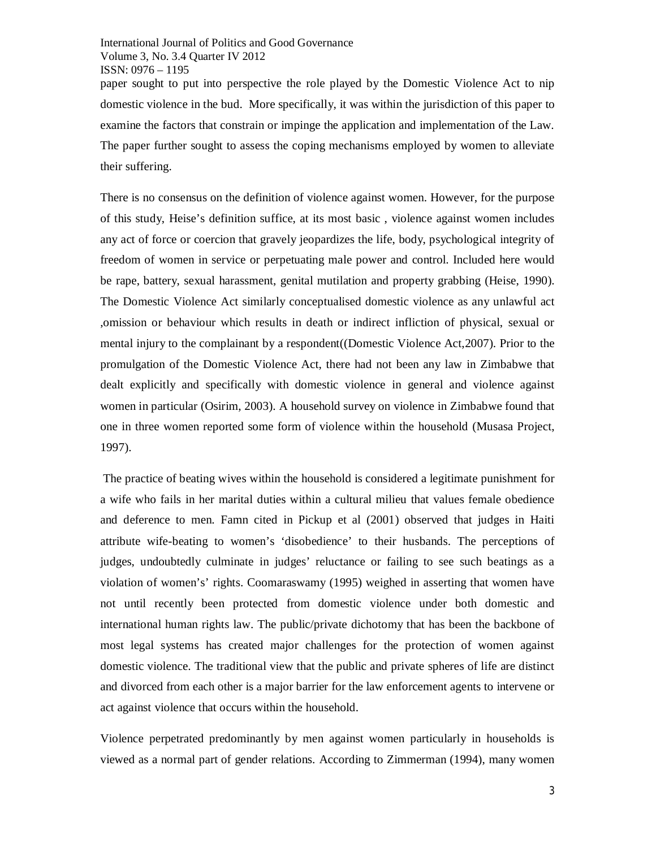International Journal of Politics and Good Governance Volume 3, No. 3.4 Quarter IV 2012 ISSN: 0976 – 1195 paper sought to put into perspective the role played by the Domestic Violence Act to nip domestic violence in the bud. More specifically, it was within the jurisdiction of this paper to examine the factors that constrain or impinge the application and implementation of the Law. The paper further sought to assess the coping mechanisms employed by women to alleviate their suffering.

There is no consensus on the definition of violence against women. However, for the purpose of this study, Heise's definition suffice, at its most basic , violence against women includes any act of force or coercion that gravely jeopardizes the life, body, psychological integrity of freedom of women in service or perpetuating male power and control. Included here would be rape, battery, sexual harassment, genital mutilation and property grabbing (Heise, 1990). The Domestic Violence Act similarly conceptualised domestic violence as any unlawful act ,omission or behaviour which results in death or indirect infliction of physical, sexual or mental injury to the complainant by a respondent((Domestic Violence Act,2007). Prior to the promulgation of the Domestic Violence Act, there had not been any law in Zimbabwe that dealt explicitly and specifically with domestic violence in general and violence against women in particular (Osirim, 2003). A household survey on violence in Zimbabwe found that one in three women reported some form of violence within the household (Musasa Project, 1997).

The practice of beating wives within the household is considered a legitimate punishment for a wife who fails in her marital duties within a cultural milieu that values female obedience and deference to men. Famn cited in Pickup et al (2001) observed that judges in Haiti attribute wife-beating to women's 'disobedience' to their husbands. The perceptions of judges, undoubtedly culminate in judges' reluctance or failing to see such beatings as a violation of women's' rights. Coomaraswamy (1995) weighed in asserting that women have not until recently been protected from domestic violence under both domestic and international human rights law. The public/private dichotomy that has been the backbone of most legal systems has created major challenges for the protection of women against domestic violence. The traditional view that the public and private spheres of life are distinct and divorced from each other is a major barrier for the law enforcement agents to intervene or act against violence that occurs within the household.

Violence perpetrated predominantly by men against women particularly in households is viewed as a normal part of gender relations. According to Zimmerman (1994), many women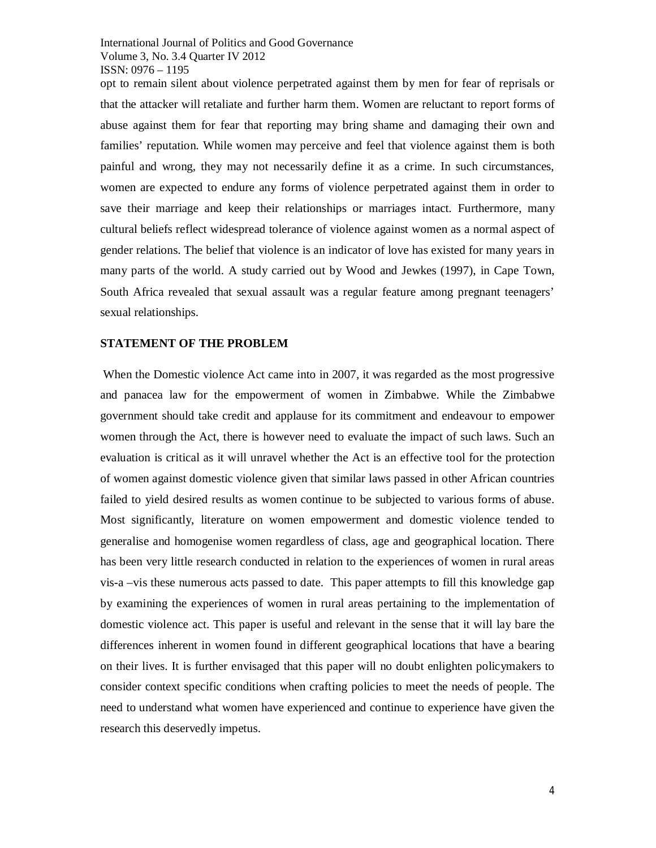opt to remain silent about violence perpetrated against them by men for fear of reprisals or that the attacker will retaliate and further harm them. Women are reluctant to report forms of abuse against them for fear that reporting may bring shame and damaging their own and families' reputation. While women may perceive and feel that violence against them is both painful and wrong, they may not necessarily define it as a crime. In such circumstances, women are expected to endure any forms of violence perpetrated against them in order to save their marriage and keep their relationships or marriages intact. Furthermore, many cultural beliefs reflect widespread tolerance of violence against women as a normal aspect of gender relations. The belief that violence is an indicator of love has existed for many years in many parts of the world. A study carried out by Wood and Jewkes (1997), in Cape Town, South Africa revealed that sexual assault was a regular feature among pregnant teenagers' sexual relationships.

#### **STATEMENT OF THE PROBLEM**

When the Domestic violence Act came into in 2007, it was regarded as the most progressive and panacea law for the empowerment of women in Zimbabwe. While the Zimbabwe government should take credit and applause for its commitment and endeavour to empower women through the Act, there is however need to evaluate the impact of such laws. Such an evaluation is critical as it will unravel whether the Act is an effective tool for the protection of women against domestic violence given that similar laws passed in other African countries failed to yield desired results as women continue to be subjected to various forms of abuse. Most significantly, literature on women empowerment and domestic violence tended to generalise and homogenise women regardless of class, age and geographical location. There has been very little research conducted in relation to the experiences of women in rural areas vis-a –vis these numerous acts passed to date. This paper attempts to fill this knowledge gap by examining the experiences of women in rural areas pertaining to the implementation of domestic violence act. This paper is useful and relevant in the sense that it will lay bare the differences inherent in women found in different geographical locations that have a bearing on their lives. It is further envisaged that this paper will no doubt enlighten policymakers to consider context specific conditions when crafting policies to meet the needs of people. The need to understand what women have experienced and continue to experience have given the research this deservedly impetus.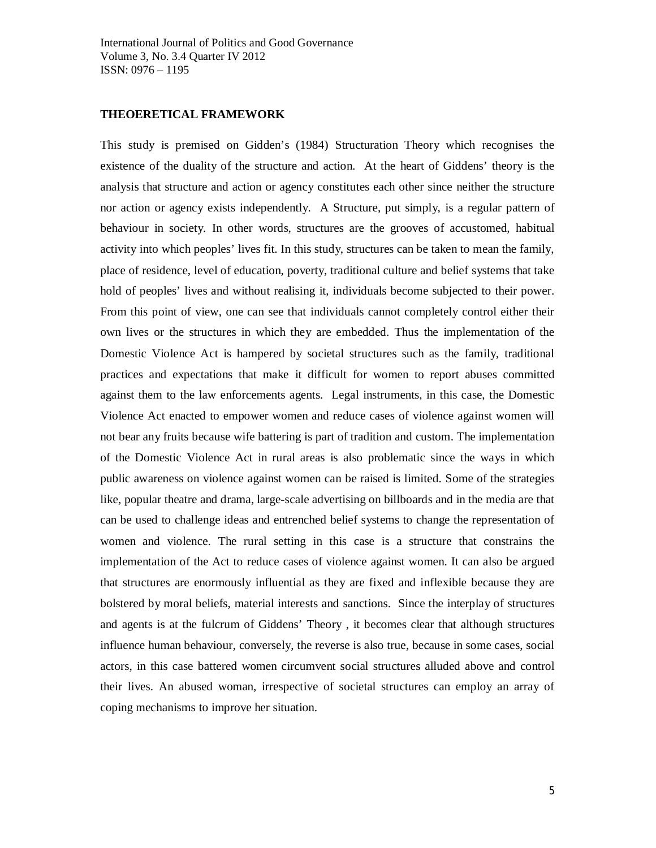## **THEOERETICAL FRAMEWORK**

This study is premised on Gidden's (1984) Structuration Theory which recognises the existence of the duality of the structure and action. At the heart of Giddens' theory is the analysis that structure and action or agency constitutes each other since neither the structure nor action or agency exists independently. A Structure, put simply, is a regular pattern of behaviour in society. In other words, structures are the grooves of accustomed, habitual activity into which peoples' lives fit. In this study, structures can be taken to mean the family, place of residence, level of education, poverty, traditional culture and belief systems that take hold of peoples' lives and without realising it, individuals become subjected to their power. From this point of view, one can see that individuals cannot completely control either their own lives or the structures in which they are embedded. Thus the implementation of the Domestic Violence Act is hampered by societal structures such as the family, traditional practices and expectations that make it difficult for women to report abuses committed against them to the law enforcements agents. Legal instruments, in this case, the Domestic Violence Act enacted to empower women and reduce cases of violence against women will not bear any fruits because wife battering is part of tradition and custom. The implementation of the Domestic Violence Act in rural areas is also problematic since the ways in which public awareness on violence against women can be raised is limited. Some of the strategies like, popular theatre and drama, large-scale advertising on billboards and in the media are that can be used to challenge ideas and entrenched belief systems to change the representation of women and violence. The rural setting in this case is a structure that constrains the implementation of the Act to reduce cases of violence against women. It can also be argued that structures are enormously influential as they are fixed and inflexible because they are bolstered by moral beliefs, material interests and sanctions. Since the interplay of structures and agents is at the fulcrum of Giddens' Theory , it becomes clear that although structures influence human behaviour, conversely, the reverse is also true, because in some cases, social actors, in this case battered women circumvent social structures alluded above and control their lives. An abused woman, irrespective of societal structures can employ an array of coping mechanisms to improve her situation.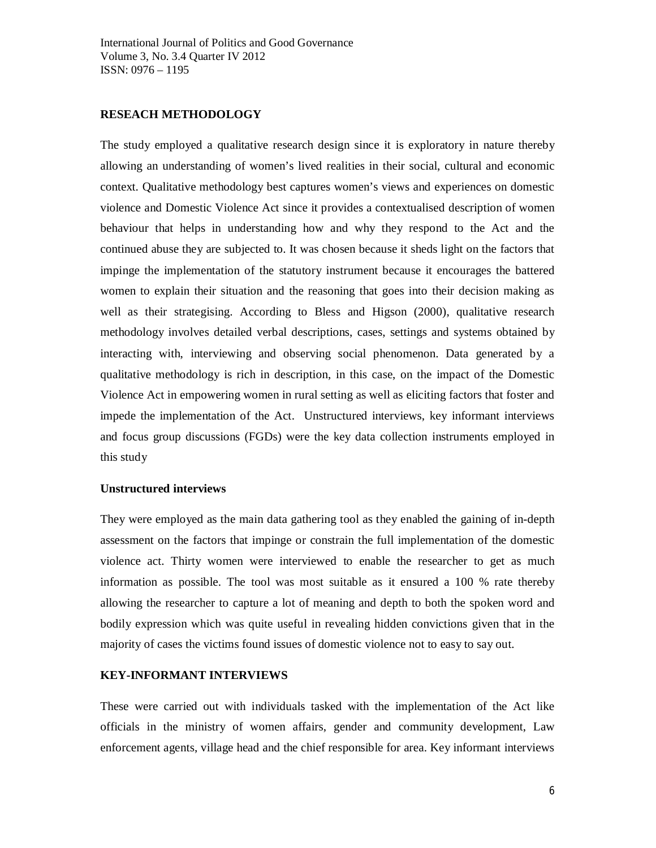## **RESEACH METHODOLOGY**

The study employed a qualitative research design since it is exploratory in nature thereby allowing an understanding of women's lived realities in their social, cultural and economic context. Qualitative methodology best captures women's views and experiences on domestic violence and Domestic Violence Act since it provides a contextualised description of women behaviour that helps in understanding how and why they respond to the Act and the continued abuse they are subjected to. It was chosen because it sheds light on the factors that impinge the implementation of the statutory instrument because it encourages the battered women to explain their situation and the reasoning that goes into their decision making as well as their strategising. According to Bless and Higson (2000), qualitative research methodology involves detailed verbal descriptions, cases, settings and systems obtained by interacting with, interviewing and observing social phenomenon. Data generated by a qualitative methodology is rich in description, in this case, on the impact of the Domestic Violence Act in empowering women in rural setting as well as eliciting factors that foster and impede the implementation of the Act. Unstructured interviews, key informant interviews and focus group discussions (FGDs) were the key data collection instruments employed in this study

## **Unstructured interviews**

They were employed as the main data gathering tool as they enabled the gaining of in-depth assessment on the factors that impinge or constrain the full implementation of the domestic violence act. Thirty women were interviewed to enable the researcher to get as much information as possible. The tool was most suitable as it ensured a 100 % rate thereby allowing the researcher to capture a lot of meaning and depth to both the spoken word and bodily expression which was quite useful in revealing hidden convictions given that in the majority of cases the victims found issues of domestic violence not to easy to say out.

#### **KEY-INFORMANT INTERVIEWS**

These were carried out with individuals tasked with the implementation of the Act like officials in the ministry of women affairs, gender and community development, Law enforcement agents, village head and the chief responsible for area. Key informant interviews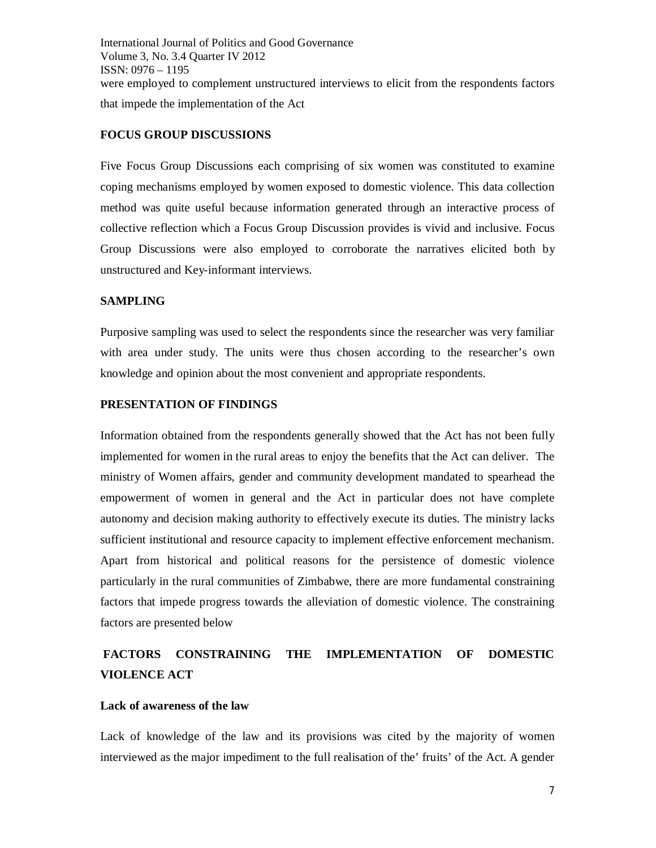International Journal of Politics and Good Governance Volume 3, No. 3.4 Quarter IV 2012 ISSN: 0976 – 1195 were employed to complement unstructured interviews to elicit from the respondents factors that impede the implementation of the Act

## **FOCUS GROUP DISCUSSIONS**

Five Focus Group Discussions each comprising of six women was constituted to examine coping mechanisms employed by women exposed to domestic violence. This data collection method was quite useful because information generated through an interactive process of collective reflection which a Focus Group Discussion provides is vivid and inclusive. Focus Group Discussions were also employed to corroborate the narratives elicited both by unstructured and Key-informant interviews.

## **SAMPLING**

Purposive sampling was used to select the respondents since the researcher was very familiar with area under study. The units were thus chosen according to the researcher's own knowledge and opinion about the most convenient and appropriate respondents.

#### **PRESENTATION OF FINDINGS**

Information obtained from the respondents generally showed that the Act has not been fully implemented for women in the rural areas to enjoy the benefits that the Act can deliver. The ministry of Women affairs, gender and community development mandated to spearhead the empowerment of women in general and the Act in particular does not have complete autonomy and decision making authority to effectively execute its duties. The ministry lacks sufficient institutional and resource capacity to implement effective enforcement mechanism. Apart from historical and political reasons for the persistence of domestic violence particularly in the rural communities of Zimbabwe, there are more fundamental constraining factors that impede progress towards the alleviation of domestic violence. The constraining factors are presented below

## **FACTORS CONSTRAINING THE IMPLEMENTATION OF DOMESTIC VIOLENCE ACT**

#### **Lack of awareness of the law**

Lack of knowledge of the law and its provisions was cited by the majority of women interviewed as the major impediment to the full realisation of the' fruits' of the Act. A gender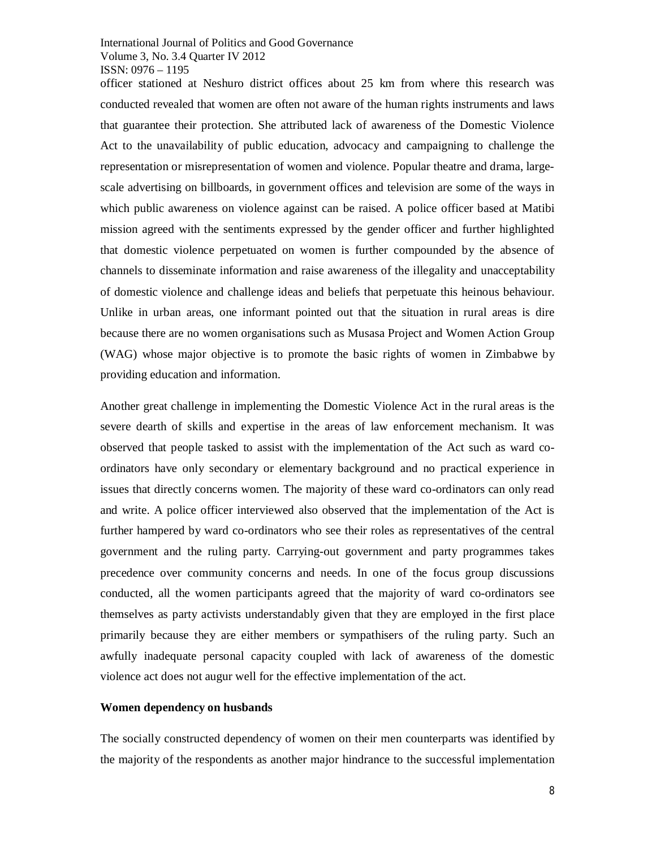officer stationed at Neshuro district offices about 25 km from where this research was conducted revealed that women are often not aware of the human rights instruments and laws that guarantee their protection. She attributed lack of awareness of the Domestic Violence Act to the unavailability of public education, advocacy and campaigning to challenge the representation or misrepresentation of women and violence. Popular theatre and drama, largescale advertising on billboards, in government offices and television are some of the ways in which public awareness on violence against can be raised. A police officer based at Matibi mission agreed with the sentiments expressed by the gender officer and further highlighted that domestic violence perpetuated on women is further compounded by the absence of channels to disseminate information and raise awareness of the illegality and unacceptability of domestic violence and challenge ideas and beliefs that perpetuate this heinous behaviour. Unlike in urban areas, one informant pointed out that the situation in rural areas is dire because there are no women organisations such as Musasa Project and Women Action Group (WAG) whose major objective is to promote the basic rights of women in Zimbabwe by providing education and information.

Another great challenge in implementing the Domestic Violence Act in the rural areas is the severe dearth of skills and expertise in the areas of law enforcement mechanism. It was observed that people tasked to assist with the implementation of the Act such as ward coordinators have only secondary or elementary background and no practical experience in issues that directly concerns women. The majority of these ward co-ordinators can only read and write. A police officer interviewed also observed that the implementation of the Act is further hampered by ward co-ordinators who see their roles as representatives of the central government and the ruling party. Carrying-out government and party programmes takes precedence over community concerns and needs. In one of the focus group discussions conducted, all the women participants agreed that the majority of ward co-ordinators see themselves as party activists understandably given that they are employed in the first place primarily because they are either members or sympathisers of the ruling party. Such an awfully inadequate personal capacity coupled with lack of awareness of the domestic violence act does not augur well for the effective implementation of the act.

#### **Women dependency on husbands**

The socially constructed dependency of women on their men counterparts was identified by the majority of the respondents as another major hindrance to the successful implementation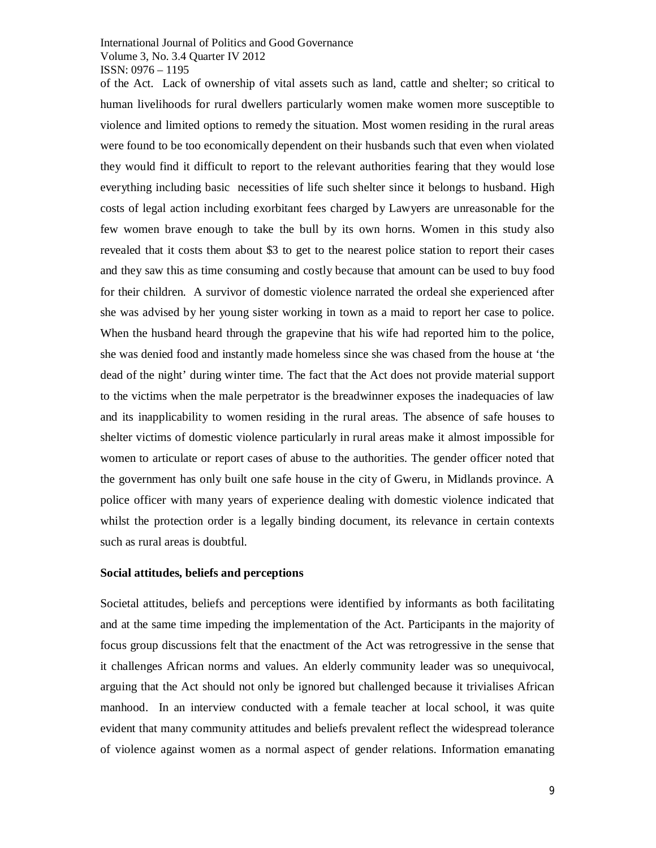of the Act. Lack of ownership of vital assets such as land, cattle and shelter; so critical to human livelihoods for rural dwellers particularly women make women more susceptible to violence and limited options to remedy the situation. Most women residing in the rural areas were found to be too economically dependent on their husbands such that even when violated they would find it difficult to report to the relevant authorities fearing that they would lose everything including basic necessities of life such shelter since it belongs to husband. High costs of legal action including exorbitant fees charged by Lawyers are unreasonable for the few women brave enough to take the bull by its own horns. Women in this study also revealed that it costs them about \$3 to get to the nearest police station to report their cases and they saw this as time consuming and costly because that amount can be used to buy food for their children. A survivor of domestic violence narrated the ordeal she experienced after she was advised by her young sister working in town as a maid to report her case to police. When the husband heard through the grapevine that his wife had reported him to the police, she was denied food and instantly made homeless since she was chased from the house at 'the dead of the night' during winter time. The fact that the Act does not provide material support to the victims when the male perpetrator is the breadwinner exposes the inadequacies of law and its inapplicability to women residing in the rural areas. The absence of safe houses to shelter victims of domestic violence particularly in rural areas make it almost impossible for women to articulate or report cases of abuse to the authorities. The gender officer noted that the government has only built one safe house in the city of Gweru, in Midlands province. A police officer with many years of experience dealing with domestic violence indicated that whilst the protection order is a legally binding document, its relevance in certain contexts such as rural areas is doubtful.

#### **Social attitudes, beliefs and perceptions**

Societal attitudes, beliefs and perceptions were identified by informants as both facilitating and at the same time impeding the implementation of the Act. Participants in the majority of focus group discussions felt that the enactment of the Act was retrogressive in the sense that it challenges African norms and values. An elderly community leader was so unequivocal, arguing that the Act should not only be ignored but challenged because it trivialises African manhood. In an interview conducted with a female teacher at local school, it was quite evident that many community attitudes and beliefs prevalent reflect the widespread tolerance of violence against women as a normal aspect of gender relations. Information emanating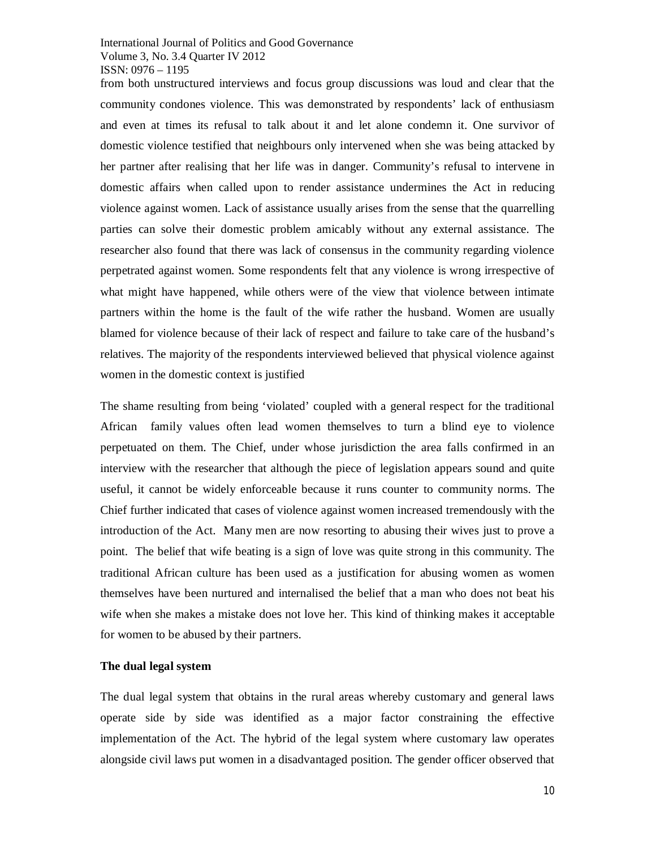from both unstructured interviews and focus group discussions was loud and clear that the community condones violence. This was demonstrated by respondents' lack of enthusiasm and even at times its refusal to talk about it and let alone condemn it. One survivor of domestic violence testified that neighbours only intervened when she was being attacked by her partner after realising that her life was in danger. Community's refusal to intervene in domestic affairs when called upon to render assistance undermines the Act in reducing violence against women. Lack of assistance usually arises from the sense that the quarrelling parties can solve their domestic problem amicably without any external assistance. The researcher also found that there was lack of consensus in the community regarding violence perpetrated against women. Some respondents felt that any violence is wrong irrespective of what might have happened, while others were of the view that violence between intimate partners within the home is the fault of the wife rather the husband. Women are usually blamed for violence because of their lack of respect and failure to take care of the husband's relatives. The majority of the respondents interviewed believed that physical violence against women in the domestic context is justified

The shame resulting from being 'violated' coupled with a general respect for the traditional African family values often lead women themselves to turn a blind eye to violence perpetuated on them. The Chief, under whose jurisdiction the area falls confirmed in an interview with the researcher that although the piece of legislation appears sound and quite useful, it cannot be widely enforceable because it runs counter to community norms. The Chief further indicated that cases of violence against women increased tremendously with the introduction of the Act. Many men are now resorting to abusing their wives just to prove a point. The belief that wife beating is a sign of love was quite strong in this community. The traditional African culture has been used as a justification for abusing women as women themselves have been nurtured and internalised the belief that a man who does not beat his wife when she makes a mistake does not love her. This kind of thinking makes it acceptable for women to be abused by their partners.

#### **The dual legal system**

The dual legal system that obtains in the rural areas whereby customary and general laws operate side by side was identified as a major factor constraining the effective implementation of the Act. The hybrid of the legal system where customary law operates alongside civil laws put women in a disadvantaged position. The gender officer observed that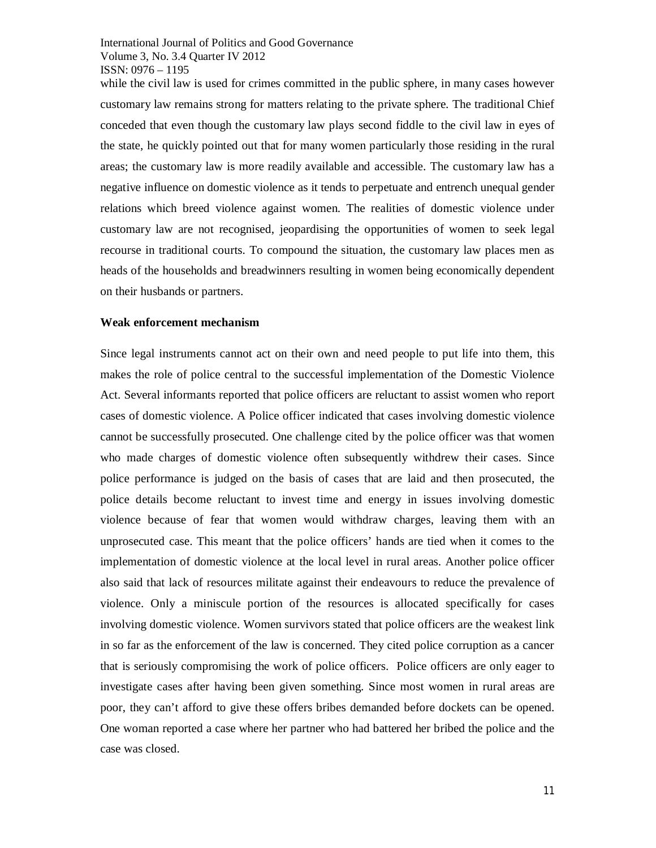while the civil law is used for crimes committed in the public sphere, in many cases however customary law remains strong for matters relating to the private sphere. The traditional Chief conceded that even though the customary law plays second fiddle to the civil law in eyes of the state, he quickly pointed out that for many women particularly those residing in the rural areas; the customary law is more readily available and accessible. The customary law has a negative influence on domestic violence as it tends to perpetuate and entrench unequal gender relations which breed violence against women. The realities of domestic violence under customary law are not recognised, jeopardising the opportunities of women to seek legal recourse in traditional courts. To compound the situation, the customary law places men as heads of the households and breadwinners resulting in women being economically dependent on their husbands or partners.

#### **Weak enforcement mechanism**

Since legal instruments cannot act on their own and need people to put life into them, this makes the role of police central to the successful implementation of the Domestic Violence Act. Several informants reported that police officers are reluctant to assist women who report cases of domestic violence. A Police officer indicated that cases involving domestic violence cannot be successfully prosecuted. One challenge cited by the police officer was that women who made charges of domestic violence often subsequently withdrew their cases. Since police performance is judged on the basis of cases that are laid and then prosecuted, the police details become reluctant to invest time and energy in issues involving domestic violence because of fear that women would withdraw charges, leaving them with an unprosecuted case. This meant that the police officers' hands are tied when it comes to the implementation of domestic violence at the local level in rural areas. Another police officer also said that lack of resources militate against their endeavours to reduce the prevalence of violence. Only a miniscule portion of the resources is allocated specifically for cases involving domestic violence. Women survivors stated that police officers are the weakest link in so far as the enforcement of the law is concerned. They cited police corruption as a cancer that is seriously compromising the work of police officers. Police officers are only eager to investigate cases after having been given something. Since most women in rural areas are poor, they can't afford to give these offers bribes demanded before dockets can be opened. One woman reported a case where her partner who had battered her bribed the police and the case was closed.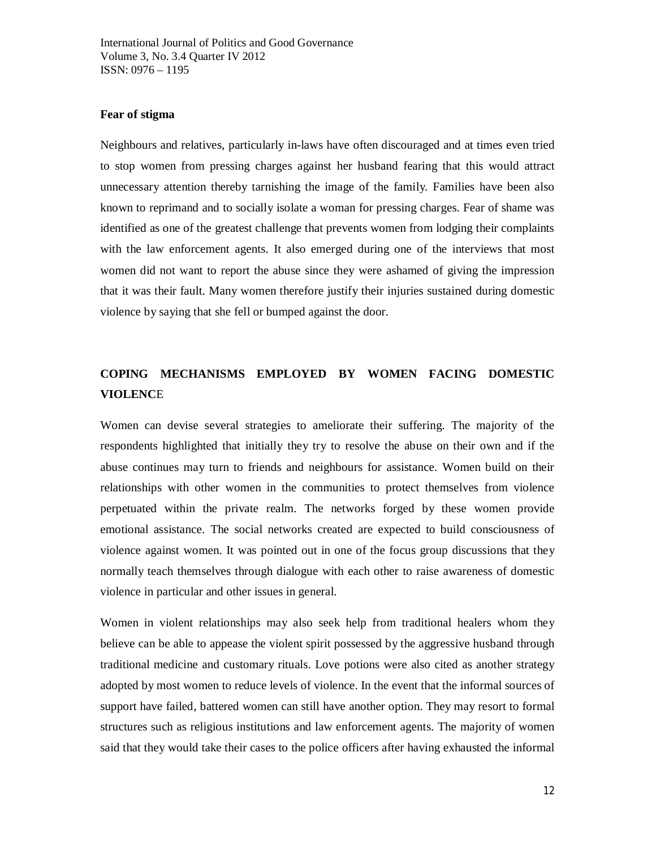### **Fear of stigma**

Neighbours and relatives, particularly in-laws have often discouraged and at times even tried to stop women from pressing charges against her husband fearing that this would attract unnecessary attention thereby tarnishing the image of the family. Families have been also known to reprimand and to socially isolate a woman for pressing charges. Fear of shame was identified as one of the greatest challenge that prevents women from lodging their complaints with the law enforcement agents. It also emerged during one of the interviews that most women did not want to report the abuse since they were ashamed of giving the impression that it was their fault. Many women therefore justify their injuries sustained during domestic violence by saying that she fell or bumped against the door.

## **COPING MECHANISMS EMPLOYED BY WOMEN FACING DOMESTIC VIOLENC**E

Women can devise several strategies to ameliorate their suffering. The majority of the respondents highlighted that initially they try to resolve the abuse on their own and if the abuse continues may turn to friends and neighbours for assistance. Women build on their relationships with other women in the communities to protect themselves from violence perpetuated within the private realm. The networks forged by these women provide emotional assistance. The social networks created are expected to build consciousness of violence against women. It was pointed out in one of the focus group discussions that they normally teach themselves through dialogue with each other to raise awareness of domestic violence in particular and other issues in general.

Women in violent relationships may also seek help from traditional healers whom they believe can be able to appease the violent spirit possessed by the aggressive husband through traditional medicine and customary rituals. Love potions were also cited as another strategy adopted by most women to reduce levels of violence. In the event that the informal sources of support have failed, battered women can still have another option. They may resort to formal structures such as religious institutions and law enforcement agents. The majority of women said that they would take their cases to the police officers after having exhausted the informal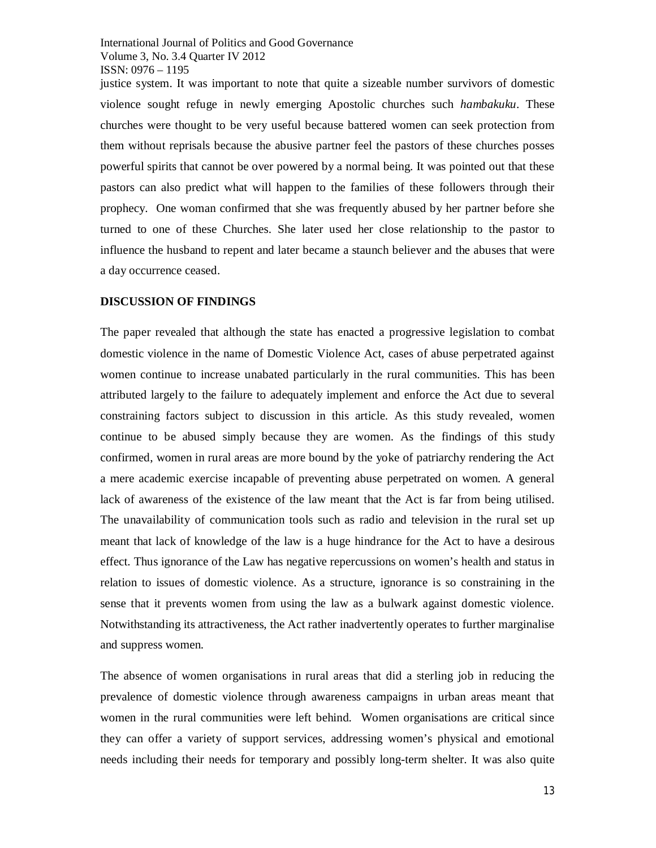justice system. It was important to note that quite a sizeable number survivors of domestic violence sought refuge in newly emerging Apostolic churches such *hambakuku*. These churches were thought to be very useful because battered women can seek protection from them without reprisals because the abusive partner feel the pastors of these churches posses powerful spirits that cannot be over powered by a normal being. It was pointed out that these pastors can also predict what will happen to the families of these followers through their prophecy. One woman confirmed that she was frequently abused by her partner before she turned to one of these Churches. She later used her close relationship to the pastor to influence the husband to repent and later became a staunch believer and the abuses that were a day occurrence ceased.

## **DISCUSSION OF FINDINGS**

The paper revealed that although the state has enacted a progressive legislation to combat domestic violence in the name of Domestic Violence Act, cases of abuse perpetrated against women continue to increase unabated particularly in the rural communities. This has been attributed largely to the failure to adequately implement and enforce the Act due to several constraining factors subject to discussion in this article. As this study revealed, women continue to be abused simply because they are women. As the findings of this study confirmed, women in rural areas are more bound by the yoke of patriarchy rendering the Act a mere academic exercise incapable of preventing abuse perpetrated on women. A general lack of awareness of the existence of the law meant that the Act is far from being utilised. The unavailability of communication tools such as radio and television in the rural set up meant that lack of knowledge of the law is a huge hindrance for the Act to have a desirous effect. Thus ignorance of the Law has negative repercussions on women's health and status in relation to issues of domestic violence. As a structure, ignorance is so constraining in the sense that it prevents women from using the law as a bulwark against domestic violence. Notwithstanding its attractiveness, the Act rather inadvertently operates to further marginalise and suppress women.

The absence of women organisations in rural areas that did a sterling job in reducing the prevalence of domestic violence through awareness campaigns in urban areas meant that women in the rural communities were left behind. Women organisations are critical since they can offer a variety of support services, addressing women's physical and emotional needs including their needs for temporary and possibly long-term shelter. It was also quite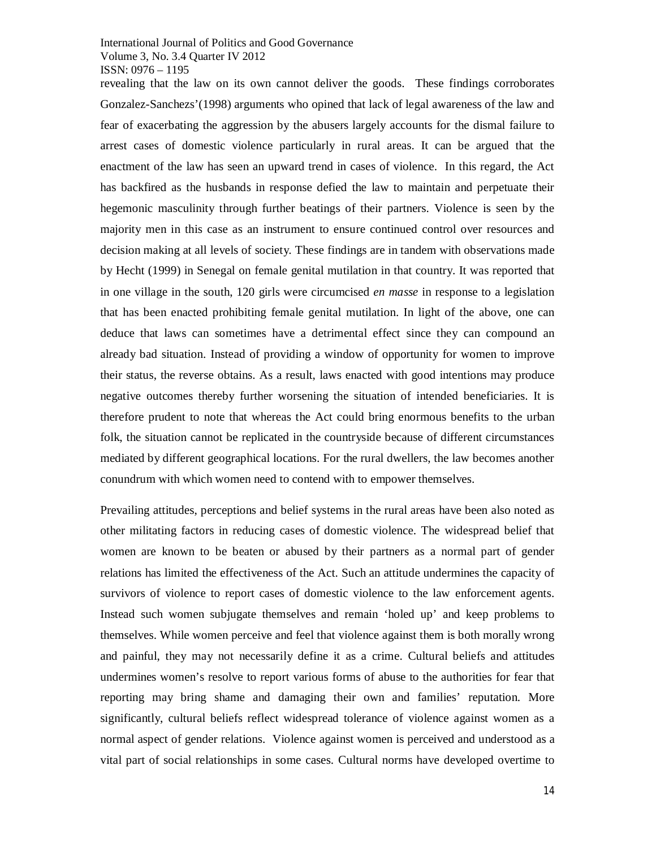revealing that the law on its own cannot deliver the goods. These findings corroborates Gonzalez-Sanchezs'(1998) arguments who opined that lack of legal awareness of the law and fear of exacerbating the aggression by the abusers largely accounts for the dismal failure to arrest cases of domestic violence particularly in rural areas. It can be argued that the enactment of the law has seen an upward trend in cases of violence. In this regard, the Act has backfired as the husbands in response defied the law to maintain and perpetuate their hegemonic masculinity through further beatings of their partners. Violence is seen by the majority men in this case as an instrument to ensure continued control over resources and decision making at all levels of society. These findings are in tandem with observations made by Hecht (1999) in Senegal on female genital mutilation in that country. It was reported that in one village in the south, 120 girls were circumcised *en masse* in response to a legislation that has been enacted prohibiting female genital mutilation. In light of the above, one can deduce that laws can sometimes have a detrimental effect since they can compound an already bad situation. Instead of providing a window of opportunity for women to improve their status, the reverse obtains. As a result, laws enacted with good intentions may produce negative outcomes thereby further worsening the situation of intended beneficiaries. It is therefore prudent to note that whereas the Act could bring enormous benefits to the urban folk, the situation cannot be replicated in the countryside because of different circumstances mediated by different geographical locations. For the rural dwellers, the law becomes another conundrum with which women need to contend with to empower themselves.

Prevailing attitudes, perceptions and belief systems in the rural areas have been also noted as other militating factors in reducing cases of domestic violence. The widespread belief that women are known to be beaten or abused by their partners as a normal part of gender relations has limited the effectiveness of the Act. Such an attitude undermines the capacity of survivors of violence to report cases of domestic violence to the law enforcement agents. Instead such women subjugate themselves and remain 'holed up' and keep problems to themselves. While women perceive and feel that violence against them is both morally wrong and painful, they may not necessarily define it as a crime. Cultural beliefs and attitudes undermines women's resolve to report various forms of abuse to the authorities for fear that reporting may bring shame and damaging their own and families' reputation. More significantly, cultural beliefs reflect widespread tolerance of violence against women as a normal aspect of gender relations. Violence against women is perceived and understood as a vital part of social relationships in some cases. Cultural norms have developed overtime to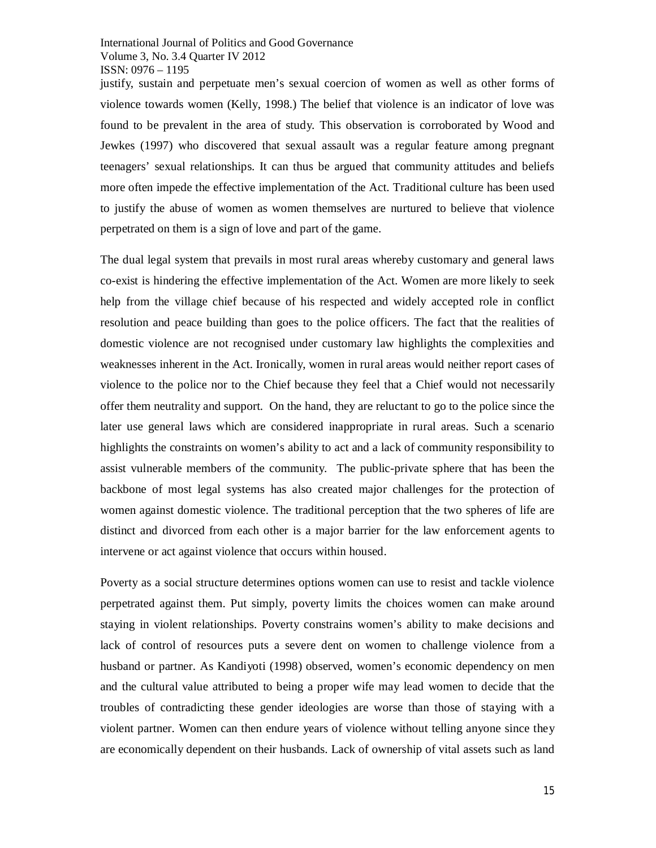justify, sustain and perpetuate men's sexual coercion of women as well as other forms of violence towards women (Kelly, 1998.) The belief that violence is an indicator of love was found to be prevalent in the area of study. This observation is corroborated by Wood and Jewkes (1997) who discovered that sexual assault was a regular feature among pregnant teenagers' sexual relationships. It can thus be argued that community attitudes and beliefs more often impede the effective implementation of the Act. Traditional culture has been used to justify the abuse of women as women themselves are nurtured to believe that violence perpetrated on them is a sign of love and part of the game.

The dual legal system that prevails in most rural areas whereby customary and general laws co-exist is hindering the effective implementation of the Act. Women are more likely to seek help from the village chief because of his respected and widely accepted role in conflict resolution and peace building than goes to the police officers. The fact that the realities of domestic violence are not recognised under customary law highlights the complexities and weaknesses inherent in the Act. Ironically, women in rural areas would neither report cases of violence to the police nor to the Chief because they feel that a Chief would not necessarily offer them neutrality and support. On the hand, they are reluctant to go to the police since the later use general laws which are considered inappropriate in rural areas. Such a scenario highlights the constraints on women's ability to act and a lack of community responsibility to assist vulnerable members of the community. The public-private sphere that has been the backbone of most legal systems has also created major challenges for the protection of women against domestic violence. The traditional perception that the two spheres of life are distinct and divorced from each other is a major barrier for the law enforcement agents to intervene or act against violence that occurs within housed.

Poverty as a social structure determines options women can use to resist and tackle violence perpetrated against them. Put simply, poverty limits the choices women can make around staying in violent relationships. Poverty constrains women's ability to make decisions and lack of control of resources puts a severe dent on women to challenge violence from a husband or partner. As Kandiyoti (1998) observed, women's economic dependency on men and the cultural value attributed to being a proper wife may lead women to decide that the troubles of contradicting these gender ideologies are worse than those of staying with a violent partner. Women can then endure years of violence without telling anyone since they are economically dependent on their husbands. Lack of ownership of vital assets such as land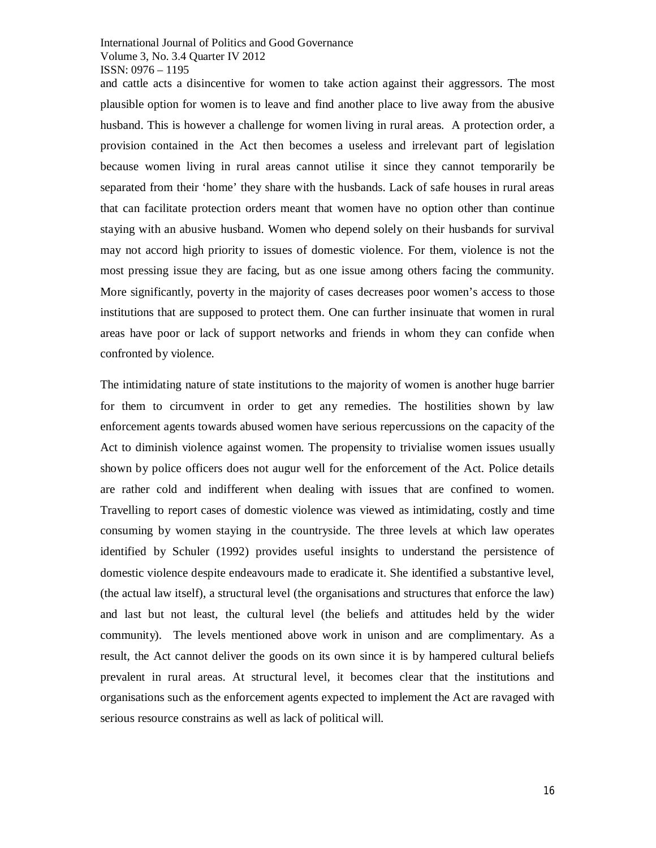and cattle acts a disincentive for women to take action against their aggressors. The most plausible option for women is to leave and find another place to live away from the abusive husband. This is however a challenge for women living in rural areas. A protection order, a provision contained in the Act then becomes a useless and irrelevant part of legislation because women living in rural areas cannot utilise it since they cannot temporarily be separated from their 'home' they share with the husbands. Lack of safe houses in rural areas that can facilitate protection orders meant that women have no option other than continue staying with an abusive husband. Women who depend solely on their husbands for survival may not accord high priority to issues of domestic violence. For them, violence is not the most pressing issue they are facing, but as one issue among others facing the community. More significantly, poverty in the majority of cases decreases poor women's access to those institutions that are supposed to protect them. One can further insinuate that women in rural areas have poor or lack of support networks and friends in whom they can confide when confronted by violence.

The intimidating nature of state institutions to the majority of women is another huge barrier for them to circumvent in order to get any remedies. The hostilities shown by law enforcement agents towards abused women have serious repercussions on the capacity of the Act to diminish violence against women. The propensity to trivialise women issues usually shown by police officers does not augur well for the enforcement of the Act. Police details are rather cold and indifferent when dealing with issues that are confined to women. Travelling to report cases of domestic violence was viewed as intimidating, costly and time consuming by women staying in the countryside. The three levels at which law operates identified by Schuler (1992) provides useful insights to understand the persistence of domestic violence despite endeavours made to eradicate it. She identified a substantive level, (the actual law itself), a structural level (the organisations and structures that enforce the law) and last but not least, the cultural level (the beliefs and attitudes held by the wider community). The levels mentioned above work in unison and are complimentary. As a result, the Act cannot deliver the goods on its own since it is by hampered cultural beliefs prevalent in rural areas. At structural level, it becomes clear that the institutions and organisations such as the enforcement agents expected to implement the Act are ravaged with serious resource constrains as well as lack of political will.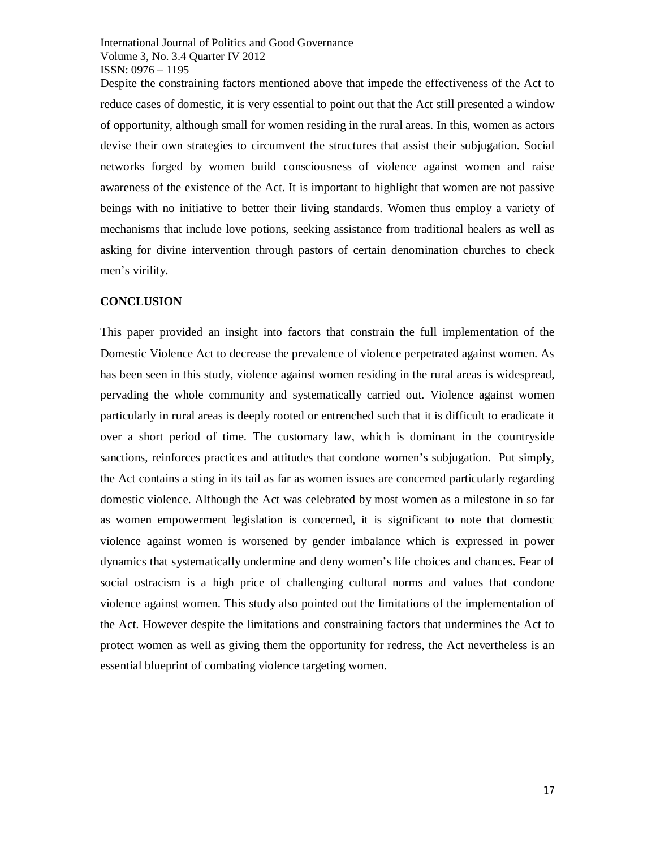Despite the constraining factors mentioned above that impede the effectiveness of the Act to reduce cases of domestic, it is very essential to point out that the Act still presented a window of opportunity, although small for women residing in the rural areas. In this, women as actors devise their own strategies to circumvent the structures that assist their subjugation. Social networks forged by women build consciousness of violence against women and raise awareness of the existence of the Act. It is important to highlight that women are not passive beings with no initiative to better their living standards. Women thus employ a variety of mechanisms that include love potions, seeking assistance from traditional healers as well as asking for divine intervention through pastors of certain denomination churches to check men's virility.

#### **CONCLUSION**

This paper provided an insight into factors that constrain the full implementation of the Domestic Violence Act to decrease the prevalence of violence perpetrated against women. As has been seen in this study, violence against women residing in the rural areas is widespread, pervading the whole community and systematically carried out. Violence against women particularly in rural areas is deeply rooted or entrenched such that it is difficult to eradicate it over a short period of time. The customary law, which is dominant in the countryside sanctions, reinforces practices and attitudes that condone women's subjugation. Put simply, the Act contains a sting in its tail as far as women issues are concerned particularly regarding domestic violence. Although the Act was celebrated by most women as a milestone in so far as women empowerment legislation is concerned, it is significant to note that domestic violence against women is worsened by gender imbalance which is expressed in power dynamics that systematically undermine and deny women's life choices and chances. Fear of social ostracism is a high price of challenging cultural norms and values that condone violence against women. This study also pointed out the limitations of the implementation of the Act. However despite the limitations and constraining factors that undermines the Act to protect women as well as giving them the opportunity for redress, the Act nevertheless is an essential blueprint of combating violence targeting women.